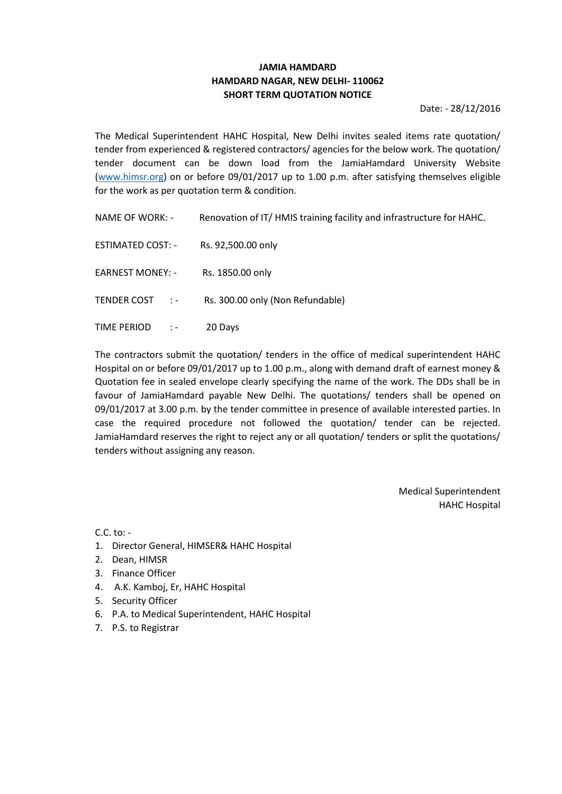# **JAMIA HAMDARD HAMDARD NAGAR, NEW DELHI- 110062 SHORT TERM QUOTATION NOTICE**

Date: - 28/12/2016

The Medical Superintendent HAHC Hospital, New Delhi invites sealed items rate quotation/ tender from experienced & registered contractors/ agencies for the below work. The quotation/ tender document can be down load from the JamiaHamdard University Website [\(www.h](http://www./)imsr.org) on or before 09/01/2017 up to 1.00 p.m. after satisfying themselves eligible for the work as per quotation term & condition.

| NAME OF WORK: - | Renovation of IT/ HMIS training facility and infrastructure for HAHC. |
|-----------------|-----------------------------------------------------------------------|
|                 |                                                                       |

ESTIMATED COST: - Rs. 92,500.00 only

EARNEST MONEY: - Rs. 1850.00 only

TENDER COST : - Rs. 300.00 only (Non Refundable)

TIME PERIOD : - 20 Days

The contractors submit the quotation/ tenders in the office of medical superintendent HAHC Hospital on or before 09/01/2017 up to 1.00 p.m., along with demand draft of earnest money & Quotation fee in sealed envelope clearly specifying the name of the work. The DDs shall be in favour of JamiaHamdard payable New Delhi. The quotations/ tenders shall be opened on 09/01/2017 at 3.00 p.m. by the tender committee in presence of available interested parties. In case the required procedure not followed the quotation/ tender can be rejected. JamiaHamdard reserves the right to reject any or all quotation/ tenders or split the quotations/ tenders without assigning any reason.

> Medical Superintendent HAHC Hospital

C.C. to: -

- 1. Director General, HIMSER& HAHC Hospital
- 2. Dean, HIMSR
- 3. Finance Officer
- 4. A.K. Kamboj, Er, HAHC Hospital
- 5. Security Officer
- 6. P.A. to Medical Superintendent, HAHC Hospital
- 7. P.S. to Registrar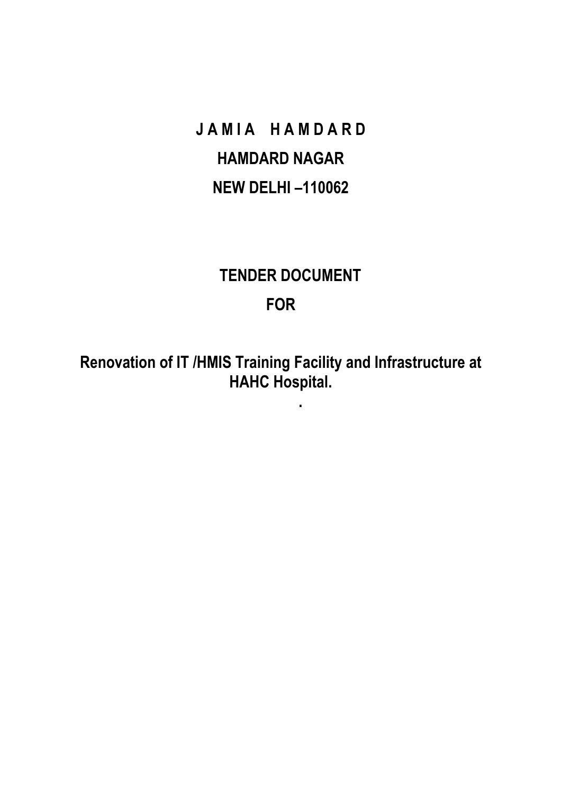**JAMIA HAMDARD HAMDARD NAGAR NEW DELHI –110062**

# **TENDER DOCUMENT FOR**

**Renovation of IT /HMIS Training Facility and Infrastructure at HAHC Hospital.**

**.**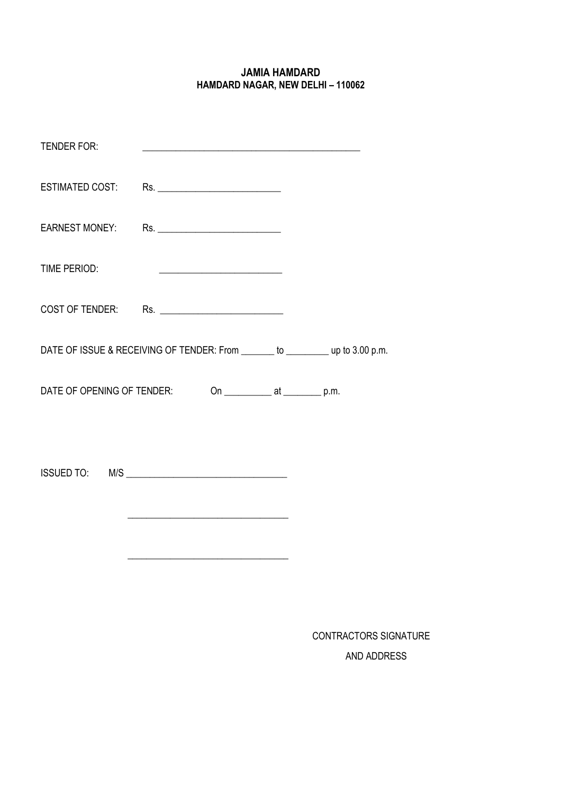# **JAMIA HAMDARD HAMDARD NAGAR, NEW DELHI – 110062**

| <b>TENDER FOR:</b>         | <u> 1989 - Johann Stoff, amerikansk politiker (d. 1989)</u>                    |                                         |  |
|----------------------------|--------------------------------------------------------------------------------|-----------------------------------------|--|
|                            | ESTIMATED COST: Rs. ________________________                                   |                                         |  |
|                            | EARNEST MONEY: Rs. _________________________                                   |                                         |  |
| TIME PERIOD:               |                                                                                |                                         |  |
|                            | COST OF TENDER: Rs. _______________________                                    |                                         |  |
|                            | DATE OF ISSUE & RECEIVING OF TENDER: From _______ to _________ up to 3.00 p.m. |                                         |  |
| DATE OF OPENING OF TENDER: |                                                                                | On _______________ at ____________ p.m. |  |
|                            |                                                                                |                                         |  |

CONTRACTORS SIGNATURE AND ADDRESS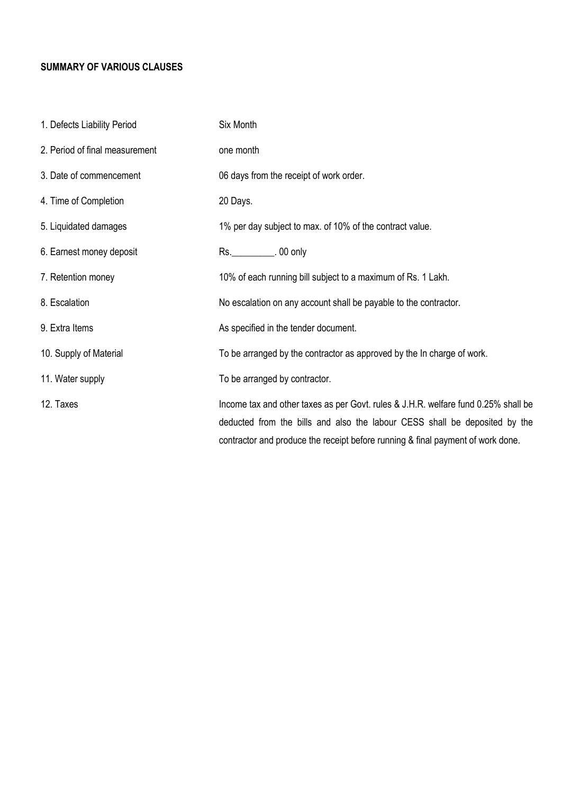# **SUMMARY OF VARIOUS CLAUSES**

| 1. Defects Liability Period    | Six Month                                                                                                                                                                                                                                           |
|--------------------------------|-----------------------------------------------------------------------------------------------------------------------------------------------------------------------------------------------------------------------------------------------------|
| 2. Period of final measurement | one month                                                                                                                                                                                                                                           |
| 3. Date of commencement        | 06 days from the receipt of work order.                                                                                                                                                                                                             |
| 4. Time of Completion          | 20 Days.                                                                                                                                                                                                                                            |
| 5. Liquidated damages          | 1% per day subject to max. of 10% of the contract value.                                                                                                                                                                                            |
| 6. Earnest money deposit       | Rs. ____________. 00 only                                                                                                                                                                                                                           |
| 7. Retention money             | 10% of each running bill subject to a maximum of Rs. 1 Lakh.                                                                                                                                                                                        |
| 8. Escalation                  | No escalation on any account shall be payable to the contractor.                                                                                                                                                                                    |
| 9. Extra Items                 | As specified in the tender document.                                                                                                                                                                                                                |
| 10. Supply of Material         | To be arranged by the contractor as approved by the In charge of work.                                                                                                                                                                              |
| 11. Water supply               | To be arranged by contractor.                                                                                                                                                                                                                       |
| 12. Taxes                      | Income tax and other taxes as per Govt. rules & J.H.R. welfare fund 0.25% shall be<br>deducted from the bills and also the labour CESS shall be deposited by the<br>contractor and produce the receipt before running & final payment of work done. |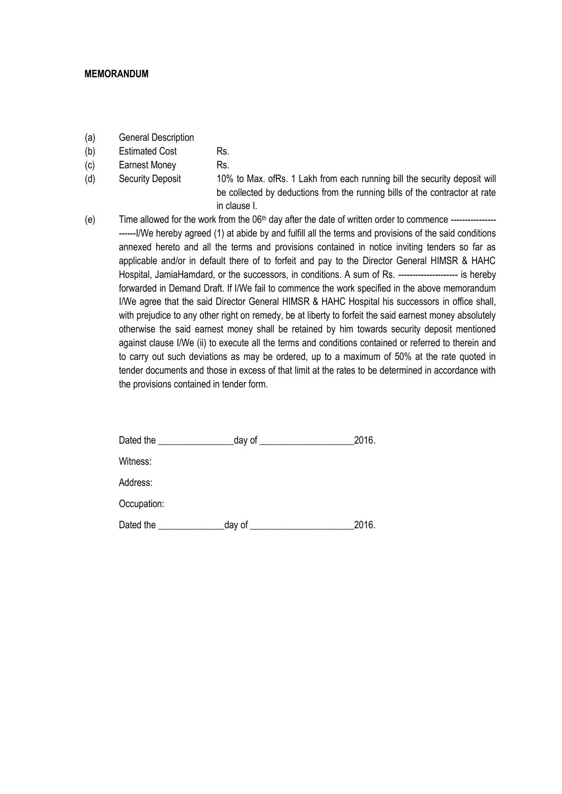#### **MEMORANDUM**

- (a) General Description
- (b) Estimated Cost Rs.
- (c) Earnest Money Rs.
- 

(d) Security Deposit 10% to Max. ofRs. 1 Lakh from each running bill the security deposit will be collected by deductions from the running bills of the contractor at rate in clause I.

(e) Time allowed for the work from the  $06<sup>th</sup>$  day after the date of written order to commence ---------------I/We hereby agreed (1) at abide by and fulfill all the terms and provisions of the said conditions annexed hereto and all the terms and provisions contained in notice inviting tenders so far as applicable and/or in default there of to forfeit and pay to the Director General HIMSR & HAHC Hospital, JamiaHamdard, or the successors, in conditions. A sum of Rs. --------------------- is hereby forwarded in Demand Draft. If I/We fail to commence the work specified in the above memorandum I/We agree that the said Director General HIMSR & HAHC Hospital his successors in office shall, with prejudice to any other right on remedy, be at liberty to forfeit the said earnest money absolutely otherwise the said earnest money shall be retained by him towards security deposit mentioned against clause I/We (ii) to execute all the terms and conditions contained or referred to therein and to carry out such deviations as may be ordered, up to a maximum of 50% at the rate quoted in tender documents and those in excess of that limit at the rates to be determined in accordance with the provisions contained in tender form.

| Dated the<br><u> 1989 - Jan Albert III, prima politik po</u> | _day of $\_$<br><u> 1986 - Jan Jawa Barat, profesora po</u> | 2016. |
|--------------------------------------------------------------|-------------------------------------------------------------|-------|
| Witness:                                                     |                                                             |       |
| Address:                                                     |                                                             |       |
| Occupation:                                                  |                                                             |       |
| Dated the                                                    | day of                                                      | 2016. |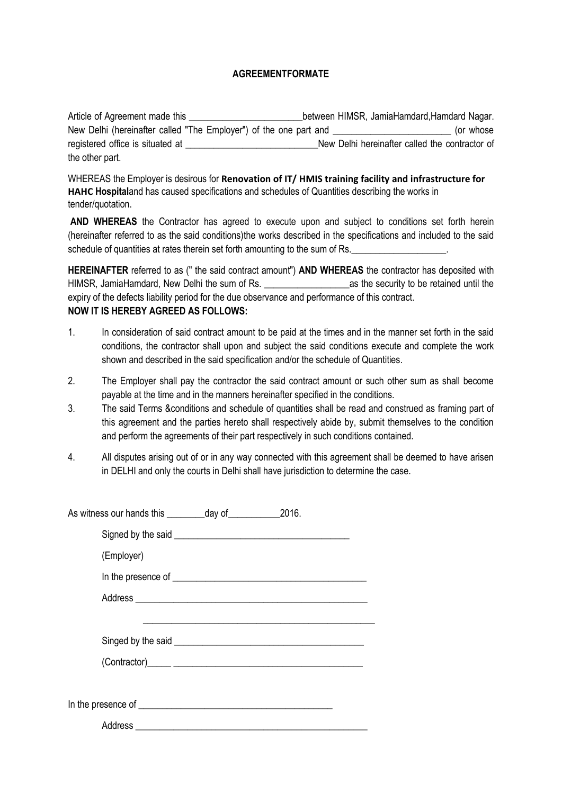#### **AGREEMENTFORMATE**

Article of Agreement made this \_\_\_\_\_\_\_\_\_\_\_\_\_\_\_\_\_\_\_\_\_\_\_\_\_\_\_\_\_\_\_\_\_between HIMSR, JamiaHamdard,Hamdard Nagar. New Delhi (hereinafter called "The Employer") of the one part and  $\blacksquare$  (or whose registered office is situated at  $\qquad \qquad$  New Delhi hereinafter called the contractor of the other part.

WHEREAS the Employer is desirous for **Renovation of IT/ HMIS training facility and infrastructure for HAHC Hospital**and has caused specifications and schedules of Quantities describing the works in tender/quotation.

**AND WHEREAS** the Contractor has agreed to execute upon and subject to conditions set forth herein (hereinafter referred to as the said conditions)the works described in the specifications and included to the said schedule of quantities at rates therein set forth amounting to the sum of Rs.

**HEREINAFTER** referred to as (" the said contract amount") **AND WHEREAS** the contractor has deposited with HIMSR, JamiaHamdard, New Delhi the sum of Rs. and the security to be retained until the expiry of the defects liability period for the due observance and performance of this contract. **NOW IT IS HEREBY AGREED AS FOLLOWS:**

- 1. In consideration of said contract amount to be paid at the times and in the manner set forth in the said conditions, the contractor shall upon and subject the said conditions execute and complete the work shown and described in the said specification and/or the schedule of Quantities.
- 2. The Employer shall pay the contractor the said contract amount or such other sum as shall become payable at the time and in the manners hereinafter specified in the conditions.
- 3. The said Terms &conditions and schedule of quantities shall be read and construed as framing part of this agreement and the parties hereto shall respectively abide by, submit themselves to the condition and perform the agreements of their part respectively in such conditions contained.
- 4. All disputes arising out of or in any way connected with this agreement shall be deemed to have arisen in DELHI and only the courts in Delhi shall have jurisdiction to determine the case.

| (Employer) |                                                                                                                      |  |
|------------|----------------------------------------------------------------------------------------------------------------------|--|
|            |                                                                                                                      |  |
|            |                                                                                                                      |  |
|            | <u> 1989 - Jan Barbara de Santo de Santo de Antonio de Santo de Santo de Santo de Santo de Santo de Santo de San</u> |  |
|            |                                                                                                                      |  |
|            |                                                                                                                      |  |
|            |                                                                                                                      |  |
|            |                                                                                                                      |  |
|            |                                                                                                                      |  |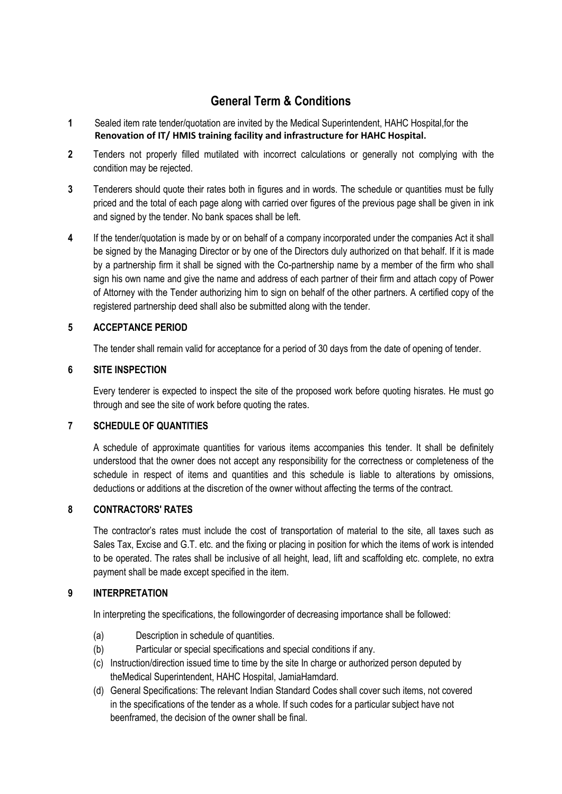# **General Term & Conditions**

- **1** Sealed item rate tender/quotation are invited by the Medical Superintendent, HAHC Hospital,for the **Renovation of IT/ HMIS training facility and infrastructure for HAHC Hospital.**
- **2** Tenders not properly filled mutilated with incorrect calculations or generally not complying with the condition may be rejected.
- **3** Tenderers should quote their rates both in figures and in words. The schedule or quantities must be fully priced and the total of each page along with carried over figures of the previous page shall be given in ink and signed by the tender. No bank spaces shall be left.
- **4** If the tender/quotation is made by or on behalf of a company incorporated under the companies Act it shall be signed by the Managing Director or by one of the Directors duly authorized on that behalf. If it is made by a partnership firm it shall be signed with the Co-partnership name by a member of the firm who shall sign his own name and give the name and address of each partner of their firm and attach copy of Power of Attorney with the Tender authorizing him to sign on behalf of the other partners. A certified copy of the registered partnership deed shall also be submitted along with the tender.

# **5 ACCEPTANCE PERIOD**

The tender shall remain valid for acceptance for a period of 30 days from the date of opening of tender.

# **6 SITE INSPECTION**

Every tenderer is expected to inspect the site of the proposed work before quoting hisrates. He must go through and see the site of work before quoting the rates.

# **7 SCHEDULE OF QUANTITIES**

A schedule of approximate quantities for various items accompanies this tender. It shall be definitely understood that the owner does not accept any responsibility for the correctness or completeness of the schedule in respect of items and quantities and this schedule is liable to alterations by omissions, deductions or additions at the discretion of the owner without affecting the terms of the contract.

# **8 CONTRACTORS' RATES**

The contractor's rates must include the cost of transportation of material to the site, all taxes such as Sales Tax, Excise and G.T. etc. and the fixing or placing in position for which the items of work is intended to be operated. The rates shall be inclusive of all height, lead, lift and scaffolding etc. complete, no extra payment shall be made except specified in the item.

# **9 INTERPRETATION**

In interpreting the specifications, the followingorder of decreasing importance shall be followed:

- (a) Description in schedule of quantities.
- (b) Particular or special specifications and special conditions if any.
- (c) Instruction/direction issued time to time by the site In charge or authorized person deputed by theMedical Superintendent, HAHC Hospital, JamiaHamdard.
- (d) General Specifications: The relevant Indian Standard Codes shall cover such items, not covered in the specifications of the tender as a whole. If such codes for a particular subject have not beenframed, the decision of the owner shall be final.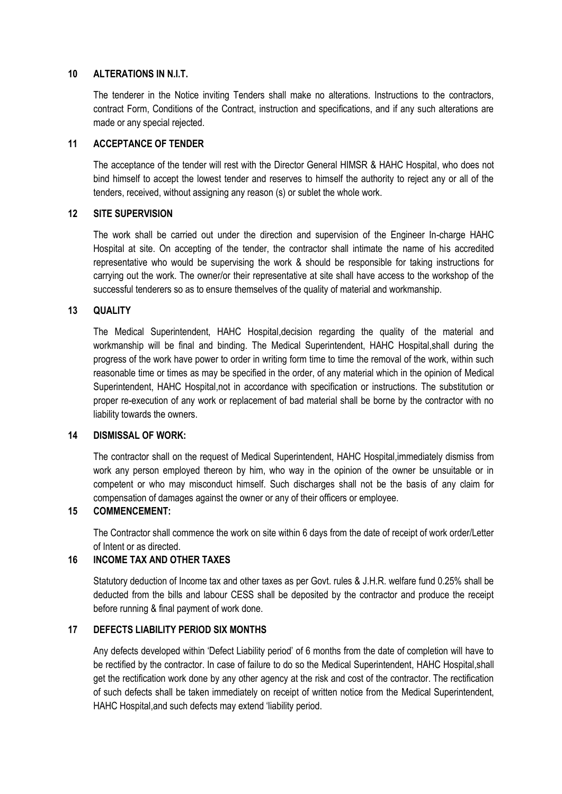#### **10 ALTERATIONS IN N.I.T.**

The tenderer in the Notice inviting Tenders shall make no alterations. Instructions to the contractors, contract Form, Conditions of the Contract, instruction and specifications, and if any such alterations are made or any special rejected.

### **11 ACCEPTANCE OF TENDER**

The acceptance of the tender will rest with the Director General HIMSR & HAHC Hospital, who does not bind himself to accept the lowest tender and reserves to himself the authority to reject any or all of the tenders, received, without assigning any reason (s) or sublet the whole work.

# **12 SITE SUPERVISION**

The work shall be carried out under the direction and supervision of the Engineer In-charge HAHC Hospital at site. On accepting of the tender, the contractor shall intimate the name of his accredited representative who would be supervising the work & should be responsible for taking instructions for carrying out the work. The owner/or their representative at site shall have access to the workshop of the successful tenderers so as to ensure themselves of the quality of material and workmanship.

# **13 QUALITY**

The Medical Superintendent, HAHC Hospital,decision regarding the quality of the material and workmanship will be final and binding. The Medical Superintendent, HAHC Hospital,shall during the progress of the work have power to order in writing form time to time the removal of the work, within such reasonable time or times as may be specified in the order, of any material which in the opinion of Medical Superintendent, HAHC Hospital,not in accordance with specification or instructions. The substitution or proper re-execution of any work or replacement of bad material shall be borne by the contractor with no liability towards the owners.

#### **14 DISMISSAL OF WORK:**

The contractor shall on the request of Medical Superintendent, HAHC Hospital,immediately dismiss from work any person employed thereon by him, who way in the opinion of the owner be unsuitable or in competent or who may misconduct himself. Such discharges shall not be the basis of any claim for compensation of damages against the owner or any of their officers or employee.

# **15 COMMENCEMENT:**

The Contractor shall commence the work on site within 6 days from the date of receipt of work order/Letter of Intent or as directed.

#### **16 INCOME TAX AND OTHER TAXES**

Statutory deduction of Income tax and other taxes as per Govt. rules & J.H.R. welfare fund 0.25% shall be deducted from the bills and labour CESS shall be deposited by the contractor and produce the receipt before running & final payment of work done.

# **17 DEFECTS LIABILITY PERIOD SIX MONTHS**

Any defects developed within 'Defect Liability period' of 6 months from the date of completion will have to be rectified by the contractor. In case of failure to do so the Medical Superintendent, HAHC Hospital,shall get the rectification work done by any other agency at the risk and cost of the contractor. The rectification of such defects shall be taken immediately on receipt of written notice from the Medical Superintendent, HAHC Hospital,and such defects may extend 'liability period.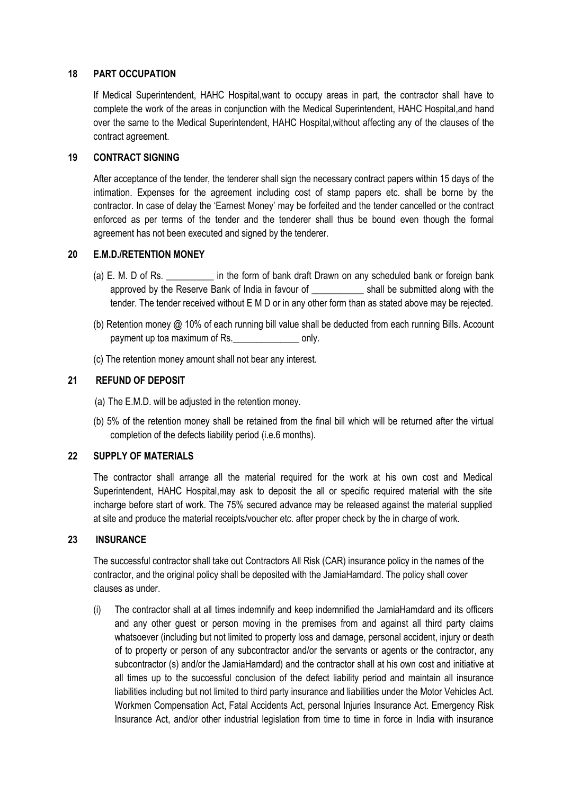#### **18 PART OCCUPATION**

If Medical Superintendent, HAHC Hospital,want to occupy areas in part, the contractor shall have to complete the work of the areas in conjunction with the Medical Superintendent, HAHC Hospital,and hand over the same to the Medical Superintendent, HAHC Hospital,without affecting any of the clauses of the contract agreement.

### **19 CONTRACT SIGNING**

After acceptance of the tender, the tenderer shall sign the necessary contract papers within 15 days of the intimation. Expenses for the agreement including cost of stamp papers etc. shall be borne by the contractor. In case of delay the 'Earnest Money' may be forfeited and the tender cancelled or the contract enforced as per terms of the tender and the tenderer shall thus be bound even though the formal agreement has not been executed and signed by the tenderer.

#### **20 E.M.D./RETENTION MONEY**

- (a) E. M. D of Rs. \_\_\_\_\_\_\_\_\_\_ in the form of bank draft Drawn on any scheduled bank or foreign bank approved by the Reserve Bank of India in favour of \_\_\_\_\_\_\_\_\_\_\_ shall be submitted along with the tender. The tender received without E M D or in any other form than as stated above may be rejected.
- (b) Retention money @ 10% of each running bill value shall be deducted from each running Bills. Account payment up toa maximum of Rs. The conduction only.
- (c) The retention money amount shall not bear any interest.

#### **21 REFUND OF DEPOSIT**

- (a) The E.M.D. will be adjusted in the retention money.
- (b) 5% of the retention money shall be retained from the final bill which will be returned after the virtual completion of the defects liability period (i.e.6 months).

# **22 SUPPLY OF MATERIALS**

The contractor shall arrange all the material required for the work at his own cost and Medical Superintendent, HAHC Hospital,may ask to deposit the all or specific required material with the site incharge before start of work. The 75% secured advance may be released against the material supplied at site and produce the material receipts/voucher etc. after proper check by the in charge of work.

#### **23 INSURANCE**

The successful contractor shall take out Contractors All Risk (CAR) insurance policy in the names of the contractor, and the original policy shall be deposited with the JamiaHamdard. The policy shall cover clauses as under.

(i) The contractor shall at all times indemnify and keep indemnified the JamiaHamdard and its officers and any other guest or person moving in the premises from and against all third party claims whatsoever (including but not limited to property loss and damage, personal accident, injury or death of to property or person of any subcontractor and/or the servants or agents or the contractor, any subcontractor (s) and/or the JamiaHamdard) and the contractor shall at his own cost and initiative at all times up to the successful conclusion of the defect liability period and maintain all insurance liabilities including but not limited to third party insurance and liabilities under the Motor Vehicles Act. Workmen Compensation Act, Fatal Accidents Act, personal Injuries Insurance Act. Emergency Risk Insurance Act, and/or other industrial legislation from time to time in force in India with insurance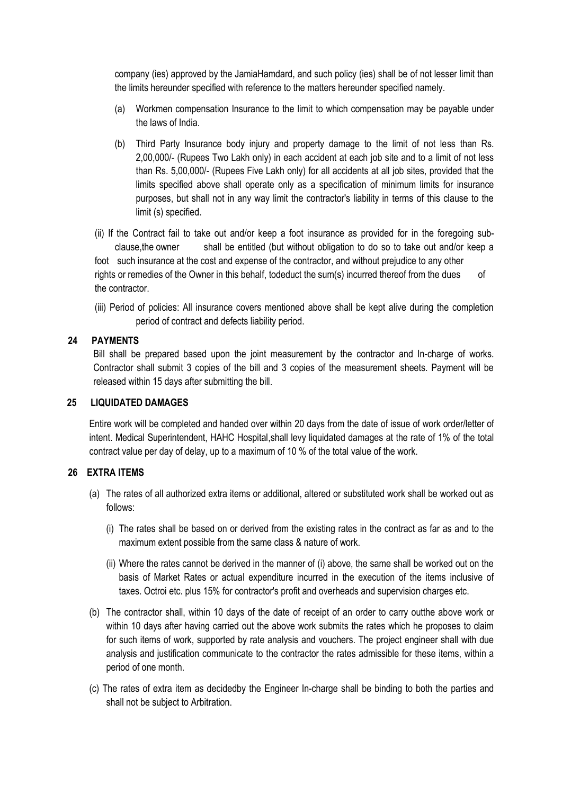company (ies) approved by the JamiaHamdard, and such policy (ies) shall be of not lesser limit than the limits hereunder specified with reference to the matters hereunder specified namely.

- (a) Workmen compensation Insurance to the limit to which compensation may be payable under the laws of India.
- (b) Third Party Insurance body injury and property damage to the limit of not less than Rs. 2,00,000/- (Rupees Two Lakh only) in each accident at each job site and to a limit of not less than Rs. 5,00,000/- (Rupees Five Lakh only) for all accidents at all job sites, provided that the limits specified above shall operate only as a specification of minimum limits for insurance purposes, but shall not in any way limit the contractor's liability in terms of this clause to the limit (s) specified.

(ii) If the Contract fail to take out and/or keep a foot insurance as provided for in the foregoing subclause,the owner shall be entitled (but without obligation to do so to take out and/or keep a foot such insurance at the cost and expense of the contractor, and without prejudice to any other rights or remedies of the Owner in this behalf, todeduct the sum(s) incurred thereof from the dues of the contractor.

(iii) Period of policies: All insurance covers mentioned above shall be kept alive during the completion period of contract and defects liability period.

#### **24 PAYMENTS**

Bill shall be prepared based upon the joint measurement by the contractor and In-charge of works. Contractor shall submit 3 copies of the bill and 3 copies of the measurement sheets. Payment will be released within 15 days after submitting the bill.

#### **25 LIQUIDATED DAMAGES**

Entire work will be completed and handed over within 20 days from the date of issue of work order/letter of intent. Medical Superintendent, HAHC Hospital,shall levy liquidated damages at the rate of 1% of the total contract value per day of delay, up to a maximum of 10 % of the total value of the work.

#### **26 EXTRA ITEMS**

- (a) The rates of all authorized extra items or additional, altered or substituted work shall be worked out as follows:
	- (i) The rates shall be based on or derived from the existing rates in the contract as far as and to the maximum extent possible from the same class & nature of work.
	- (ii) Where the rates cannot be derived in the manner of (i) above, the same shall be worked out on the basis of Market Rates or actual expenditure incurred in the execution of the items inclusive of taxes. Octroi etc. plus 15% for contractor's profit and overheads and supervision charges etc.
- (b) The contractor shall, within 10 days of the date of receipt of an order to carry outthe above work or within 10 days after having carried out the above work submits the rates which he proposes to claim for such items of work, supported by rate analysis and vouchers. The project engineer shall with due analysis and justification communicate to the contractor the rates admissible for these items, within a period of one month.
- (c) The rates of extra item as decidedby the Engineer In-charge shall be binding to both the parties and shall not be subject to Arbitration.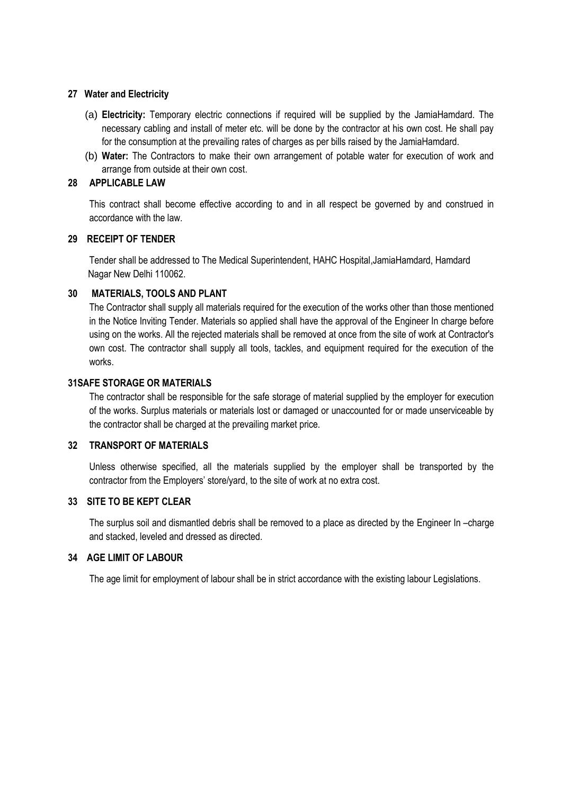#### **27 Water and Electricity**

- (a) **Electricity:** Temporary electric connections if required will be supplied by the JamiaHamdard. The necessary cabling and install of meter etc. will be done by the contractor at his own cost. He shall pay for the consumption at the prevailing rates of charges as per bills raised by the JamiaHamdard.
- (b) **Water:** The Contractors to make their own arrangement of potable water for execution of work and arrange from outside at their own cost.

### **28 APPLICABLE LAW**

This contract shall become effective according to and in all respect be governed by and construed in accordance with the law.

#### **29 RECEIPT OF TENDER**

Tender shall be addressed to The Medical Superintendent, HAHC Hospital,JamiaHamdard, Hamdard Nagar New Delhi 110062.

#### **30 MATERIALS, TOOLS AND PLANT**

The Contractor shall supply all materials required for the execution of the works other than those mentioned in the Notice Inviting Tender. Materials so applied shall have the approval of the Engineer In charge before using on the works. All the rejected materials shall be removed at once from the site of work at Contractor's own cost. The contractor shall supply all tools, tackles, and equipment required for the execution of the works.

#### **31SAFE STORAGE OR MATERIALS**

The contractor shall be responsible for the safe storage of material supplied by the employer for execution of the works. Surplus materials or materials lost or damaged or unaccounted for or made unserviceable by the contractor shall be charged at the prevailing market price.

#### **32 TRANSPORT OF MATERIALS**

Unless otherwise specified, all the materials supplied by the employer shall be transported by the contractor from the Employers' store/yard, to the site of work at no extra cost.

# **33 SITE TO BE KEPT CLEAR**

The surplus soil and dismantled debris shall be removed to a place as directed by the Engineer In –charge and stacked, leveled and dressed as directed.

#### **34 AGE LIMIT OF LABOUR**

The age limit for employment of labour shall be in strict accordance with the existing labour Legislations.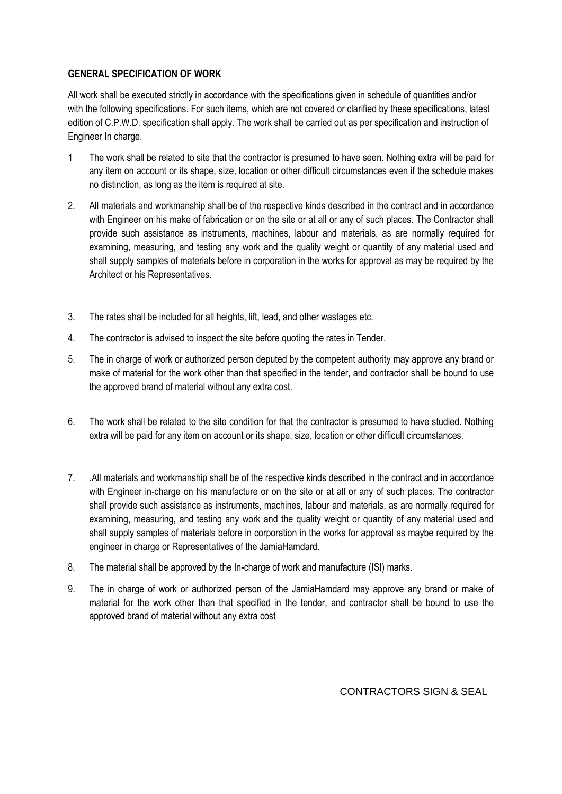# **GENERAL SPECIFICATION OF WORK**

All work shall be executed strictly in accordance with the specifications given in schedule of quantities and/or with the following specifications. For such items, which are not covered or clarified by these specifications, latest edition of C.P.W.D. specification shall apply. The work shall be carried out as per specification and instruction of Engineer In charge.

- 1 The work shall be related to site that the contractor is presumed to have seen. Nothing extra will be paid for any item on account or its shape, size, location or other difficult circumstances even if the schedule makes no distinction, as long as the item is required at site.
- 2. All materials and workmanship shall be of the respective kinds described in the contract and in accordance with Engineer on his make of fabrication or on the site or at all or any of such places. The Contractor shall provide such assistance as instruments, machines, labour and materials, as are normally required for examining, measuring, and testing any work and the quality weight or quantity of any material used and shall supply samples of materials before in corporation in the works for approval as may be required by the Architect or his Representatives.
- 3. The rates shall be included for all heights, lift, lead, and other wastages etc.
- 4. The contractor is advised to inspect the site before quoting the rates in Tender.
- 5. The in charge of work or authorized person deputed by the competent authority may approve any brand or make of material for the work other than that specified in the tender, and contractor shall be bound to use the approved brand of material without any extra cost.
- 6. The work shall be related to the site condition for that the contractor is presumed to have studied. Nothing extra will be paid for any item on account or its shape, size, location or other difficult circumstances.
- 7. .All materials and workmanship shall be of the respective kinds described in the contract and in accordance with Engineer in-charge on his manufacture or on the site or at all or any of such places. The contractor shall provide such assistance as instruments, machines, labour and materials, as are normally required for examining, measuring, and testing any work and the quality weight or quantity of any material used and shall supply samples of materials before in corporation in the works for approval as maybe required by the engineer in charge or Representatives of the JamiaHamdard.
- 8. The material shall be approved by the In-charge of work and manufacture (ISI) marks.
- 9. The in charge of work or authorized person of the JamiaHamdard may approve any brand or make of material for the work other than that specified in the tender, and contractor shall be bound to use the approved brand of material without any extra cost

CONTRACTORS SIGN & SEAL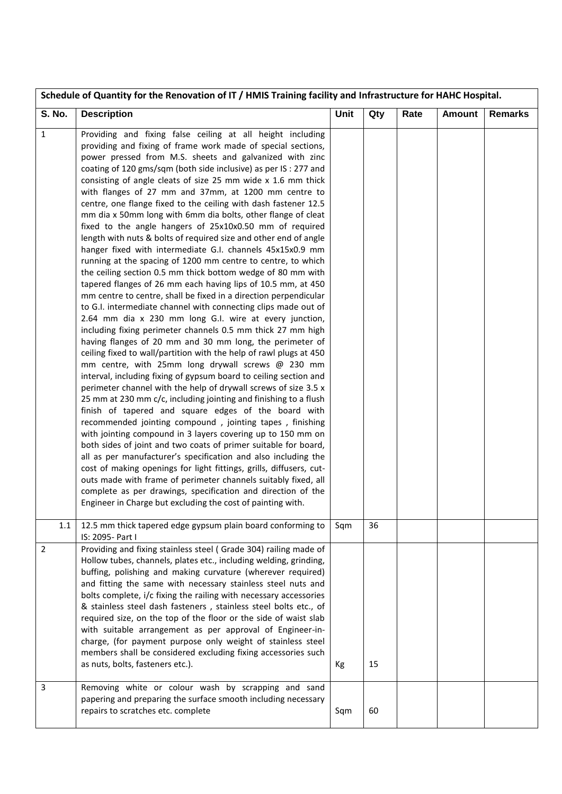| Schedule of Quantity for the Renovation of IT / HMIS Training facility and Infrastructure for HAHC Hospital. |                                                                                                                                                                                                                                                                                                                                                                                                                                                                                                                                                                                                                                                                                                                                                                                                                                                                                                                                                                                                                                                                                                                                                                                                                                                                                                                                                                                                                                                                                                                                                                                                                                                                                                                                                                                                                                                                                                                                                                                                                                                                                                                                                                                  |      |     |      |               |                |
|--------------------------------------------------------------------------------------------------------------|----------------------------------------------------------------------------------------------------------------------------------------------------------------------------------------------------------------------------------------------------------------------------------------------------------------------------------------------------------------------------------------------------------------------------------------------------------------------------------------------------------------------------------------------------------------------------------------------------------------------------------------------------------------------------------------------------------------------------------------------------------------------------------------------------------------------------------------------------------------------------------------------------------------------------------------------------------------------------------------------------------------------------------------------------------------------------------------------------------------------------------------------------------------------------------------------------------------------------------------------------------------------------------------------------------------------------------------------------------------------------------------------------------------------------------------------------------------------------------------------------------------------------------------------------------------------------------------------------------------------------------------------------------------------------------------------------------------------------------------------------------------------------------------------------------------------------------------------------------------------------------------------------------------------------------------------------------------------------------------------------------------------------------------------------------------------------------------------------------------------------------------------------------------------------------|------|-----|------|---------------|----------------|
| <b>S. No.</b>                                                                                                | <b>Description</b>                                                                                                                                                                                                                                                                                                                                                                                                                                                                                                                                                                                                                                                                                                                                                                                                                                                                                                                                                                                                                                                                                                                                                                                                                                                                                                                                                                                                                                                                                                                                                                                                                                                                                                                                                                                                                                                                                                                                                                                                                                                                                                                                                               | Unit | Qty | Rate | <b>Amount</b> | <b>Remarks</b> |
| $\mathbf{1}$                                                                                                 | Providing and fixing false ceiling at all height including<br>providing and fixing of frame work made of special sections,<br>power pressed from M.S. sheets and galvanized with zinc<br>coating of 120 gms/sqm (both side inclusive) as per IS: 277 and<br>consisting of angle cleats of size 25 mm wide x 1.6 mm thick<br>with flanges of 27 mm and 37mm, at 1200 mm centre to<br>centre, one flange fixed to the ceiling with dash fastener 12.5<br>mm dia x 50mm long with 6mm dia bolts, other flange of cleat<br>fixed to the angle hangers of 25x10x0.50 mm of required<br>length with nuts & bolts of required size and other end of angle<br>hanger fixed with intermediate G.I. channels 45x15x0.9 mm<br>running at the spacing of 1200 mm centre to centre, to which<br>the ceiling section 0.5 mm thick bottom wedge of 80 mm with<br>tapered flanges of 26 mm each having lips of 10.5 mm, at 450<br>mm centre to centre, shall be fixed in a direction perpendicular<br>to G.I. intermediate channel with connecting clips made out of<br>2.64 mm dia x 230 mm long G.I. wire at every junction,<br>including fixing perimeter channels 0.5 mm thick 27 mm high<br>having flanges of 20 mm and 30 mm long, the perimeter of<br>ceiling fixed to wall/partition with the help of rawl plugs at 450<br>mm centre, with 25mm long drywall screws @ 230 mm<br>interval, including fixing of gypsum board to ceiling section and<br>perimeter channel with the help of drywall screws of size 3.5 x<br>25 mm at 230 mm c/c, including jointing and finishing to a flush<br>finish of tapered and square edges of the board with<br>recommended jointing compound, jointing tapes, finishing<br>with jointing compound in 3 layers covering up to 150 mm on<br>both sides of joint and two coats of primer suitable for board,<br>all as per manufacturer's specification and also including the<br>cost of making openings for light fittings, grills, diffusers, cut-<br>outs made with frame of perimeter channels suitably fixed, all<br>complete as per drawings, specification and direction of the<br>Engineer in Charge but excluding the cost of painting with. |      |     |      |               |                |
| 1.1                                                                                                          | 12.5 mm thick tapered edge gypsum plain board conforming to<br>IS: 2095- Part I                                                                                                                                                                                                                                                                                                                                                                                                                                                                                                                                                                                                                                                                                                                                                                                                                                                                                                                                                                                                                                                                                                                                                                                                                                                                                                                                                                                                                                                                                                                                                                                                                                                                                                                                                                                                                                                                                                                                                                                                                                                                                                  | Sqm  | 36  |      |               |                |
| $\overline{2}$                                                                                               | Providing and fixing stainless steel (Grade 304) railing made of<br>Hollow tubes, channels, plates etc., including welding, grinding,<br>buffing, polishing and making curvature (wherever required)<br>and fitting the same with necessary stainless steel nuts and<br>bolts complete, i/c fixing the railing with necessary accessories<br>& stainless steel dash fasteners, stainless steel bolts etc., of<br>required size, on the top of the floor or the side of waist slab<br>with suitable arrangement as per approval of Engineer-in-<br>charge, (for payment purpose only weight of stainless steel<br>members shall be considered excluding fixing accessories such<br>as nuts, bolts, fasteners etc.).                                                                                                                                                                                                                                                                                                                                                                                                                                                                                                                                                                                                                                                                                                                                                                                                                                                                                                                                                                                                                                                                                                                                                                                                                                                                                                                                                                                                                                                               | Кg   | 15  |      |               |                |
| $\overline{3}$                                                                                               | Removing white or colour wash by scrapping and sand<br>papering and preparing the surface smooth including necessary<br>repairs to scratches etc. complete                                                                                                                                                                                                                                                                                                                                                                                                                                                                                                                                                                                                                                                                                                                                                                                                                                                                                                                                                                                                                                                                                                                                                                                                                                                                                                                                                                                                                                                                                                                                                                                                                                                                                                                                                                                                                                                                                                                                                                                                                       | Sqm  | 60  |      |               |                |